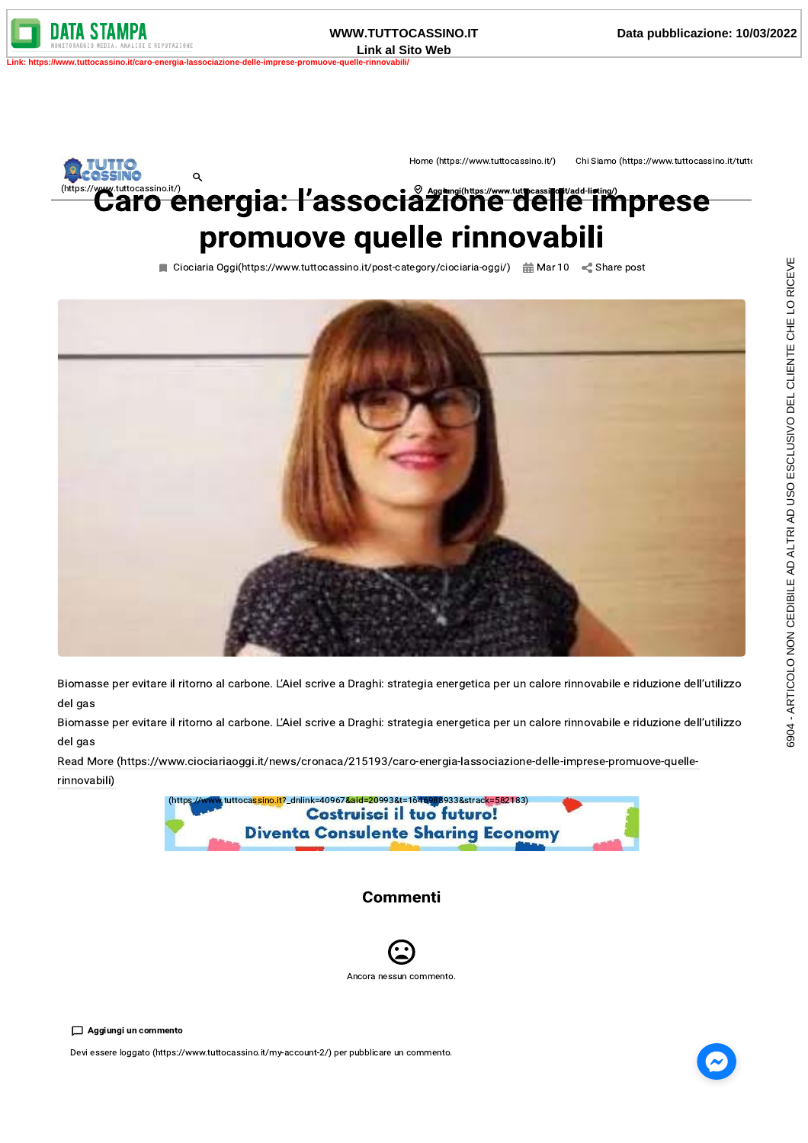**WWW.TUTTOCASSINO.IT Link al Sito Web** o.it/caro-energia-lassociazione-delle-imprese-promuove

uttocassino.it/) (https:/

Home (https://www.tuttocassino.it/)

Chi Siamo (https://www.tuttocassino.it/tutto

## $\alpha$ tuttocassino.it/)<br>aro energia: l'associàzione delle imprese promuove quelle rinnovabili

Ciociaria Oggi(https://www.tuttocassino.it/post-category/ciociaria-oggi/) and Mar 10 < Share post



Biomasse per evitare il ritorno al carbone. L'Aiel scrive a Draghi: strategia energetica per un calore rinnovabile e riduzione dell'utilizzo del gas

Biomasse per evitare il ritorno al carbone. L'Aiel scrive a Draghi: strategia energetica per un calore rinnovabile e riduzione dell'utilizzo del gas

Read More (https://www.ciociariaoggi.it/news/cronaca/215193/caro-energia-lassociazione-delle-imprese-promuove-quellerinnovabili)



## **Commenti**



Devi essere loggato (https://www.tuttocassino.it/my-account-2/) per pubblicare un commento.